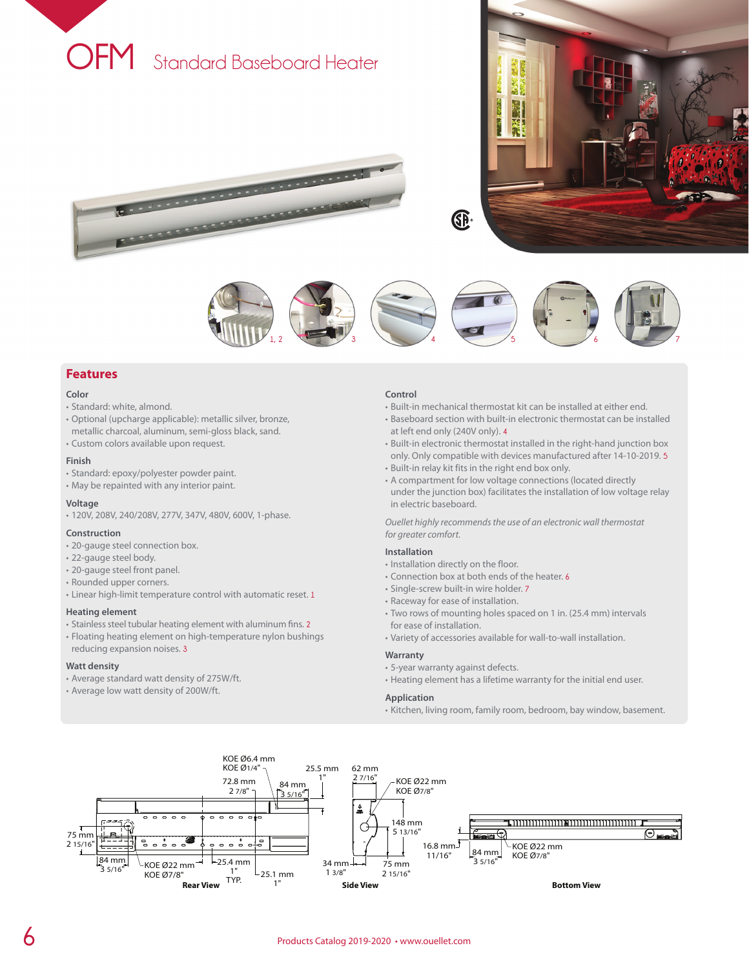

<u>production and the contract of the contract of the contract of the contract of the contract of the contract of the contract of the contract of the contract of the contract of the contract of the contract of the contract o</u>

**REAL PROPERTY AND INCOME.** 





## **Features**

#### **Color**

- Standard: white, almond.
- Optional (upcharge applicable): metallic silver, bronze, metallic charcoal, aluminum, semi-gloss black, sand.
- Custom colors available upon request.

### **Finish**

- Standard: epoxy/polyester powder paint.
- May be repainted with any interior paint.

#### **Voltage**

• 120V, 208V, 240/208V, 277V, 347V, 480V, 600V, 1-phase.

#### **Construction**

- 20-gauge steel connection box.
- 22-gauge steel body.
- 20-gauge steel front panel.
- Rounded upper corners.
- Linear high-limit temperature control with automatic reset. **1**

#### **Heating element**

- Stainless steel tubular heating element with aluminum fins. **2**
- Floating heating element on high-temperature nylon bushings reducing expansion noises. **3**

#### **Watt density**

- Average standard watt density of 275W/ft.
- Average low watt density of 200W/ft.

#### **Control**

- Built-in mechanical thermostat kit can be installed at either end.
- Baseboard section with built-in electronic thermostat can be installed at left end only (240V only). **4**
- Built-in electronic thermostat installed in the right-hand junction box only. Only compatible with devices manufactured after 14-10-2019. **5** • Built-in relay kit fits in the right end box only.
- 
- A compartment for low voltage connections (located directly under the junction box) facilitates the installation of low voltage relay in electric baseboard.

*Ouellet highly recommends the use of an electronic wall thermostat for greater comfort.*

#### **Installation**

- Installation directly on the floor.
- Connection box at both ends of the heater. **6**
- Single-screw built-in wire holder. **7**
- Raceway for ease of installation.
- Two rows of mounting holes spaced on 1 in. (25.4 mm) intervals for ease of installation.
- Variety of accessories available for wall-to-wall installation.

#### **Warranty**

- 5-year warranty against defects.
- Heating element has a lifetime warranty for the initial end user.

#### **Application**

• Kitchen, living room, family room, bedroom, bay window, basement.